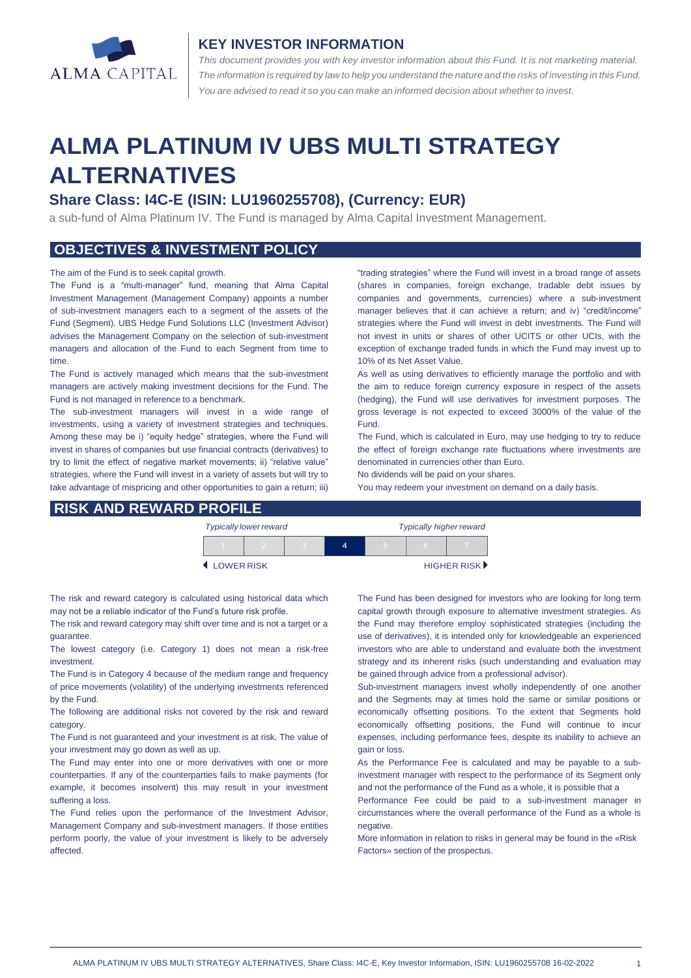

## **KEY INVESTOR INFORMATION**

*This document provides you with key investor information about this Fund. It is not marketing material.*  The information is required by law to help you understand the nature and the risks of investing in this Fund. *You are advised to read it so you can make an informed decision about whether to invest.*

# **ALMA PLATINUM IV UBS MULTI STRATEGY ALTERNATIVES**

# **Share Class: I4C-E (ISIN: LU1960255708), (Currency: EUR)**

a sub-fund of Alma Platinum IV. The Fund is managed by Alma Capital Investment Management.

## **OBJECTIVES & INVESTMENT POLICY**

#### The aim of the Fund is to seek capital growth.

The Fund is a "multi-manager" fund, meaning that Alma Capital Investment Management (Management Company) appoints a number of sub-investment managers each to a segment of the assets of the Fund (Segment). UBS Hedge Fund Solutions LLC (Investment Advisor) advises the Management Company on the selection of sub-investment managers and allocation of the Fund to each Segment from time to time.

The Fund is actively managed which means that the sub-investment managers are actively making investment decisions for the Fund. The Fund is not managed in reference to a benchmark.

The sub-investment managers will invest in a wide range of investments, using a variety of investment strategies and techniques. Among these may be i) "equity hedge" strategies, where the Fund will invest in shares of companies but use financial contracts (derivatives) to try to limit the effect of negative market movements; ii) "relative value" strategies, where the Fund will invest in a variety of assets but will try to take advantage of mispricing and other opportunities to gain a return; iii) "trading strategies" where the Fund will invest in a broad range of assets (shares in companies, foreign exchange, tradable debt issues by companies and governments, currencies) where a sub-investment manager believes that it can achieve a return; and iv) "credit/income" strategies where the Fund will invest in debt investments. The Fund will not invest in units or shares of other UCITS or other UCIs, with the exception of exchange traded funds in which the Fund may invest up to 10% of its Net Asset Value.

As well as using derivatives to efficiently manage the portfolio and with the aim to reduce foreign currency exposure in respect of the assets (hedging), the Fund will use derivatives for investment purposes. The gross leverage is not expected to exceed 3000% of the value of the Fund.

The Fund, which is calculated in Euro, may use hedging to try to reduce the effect of foreign exchange rate fluctuations where investments are denominated in currencies other than Euro.

No dividends will be paid on your shares. You may redeem your investment on demand on a daily basis.

### **RISK AND REWARD PROFILE**

|                     | <b>Typically lower reward</b> |  | <b>Typically higher reward</b> |  |  |                             |
|---------------------|-------------------------------|--|--------------------------------|--|--|-----------------------------|
|                     |                               |  |                                |  |  |                             |
| <b>4 LOWER RISK</b> |                               |  |                                |  |  | HIGHER RISK <sup>&gt;</sup> |

The risk and reward category is calculated using historical data which may not be a reliable indicator of the Fund's future risk profile.

The risk and reward category may shift over time and is not a target or a guarantee.

The lowest category (i.e. Category 1) does not mean a risk-free investment.

The Fund is in Category 4 because of the medium range and frequency of price movements (volatility) of the underlying investments referenced by the Fund.

The following are additional risks not covered by the risk and reward category.

The Fund is not guaranteed and your investment is at risk. The value of your investment may go down as well as up.

The Fund may enter into one or more derivatives with one or more counterparties. If any of the counterparties fails to make payments (for example, it becomes insolvent) this may result in your investment suffering a loss.

The Fund relies upon the performance of the Investment Advisor, Management Company and sub-investment managers. If those entities perform poorly, the value of your investment is likely to be adversely affected.

The Fund has been designed for investors who are looking for long term capital growth through exposure to alternative investment strategies. As the Fund may therefore employ sophisticated strategies (including the use of derivatives), it is intended only for knowledgeable an experienced investors who are able to understand and evaluate both the investment strategy and its inherent risks (such understanding and evaluation may be gained through advice from a professional advisor).

Sub-investment managers invest wholly independently of one another and the Segments may at times hold the same or similar positions or economically offsetting positions. To the extent that Segments hold economically offsetting positions, the Fund will continue to incur expenses, including performance fees, despite its inability to achieve an gain or loss.

As the Performance Fee is calculated and may be payable to a subinvestment manager with respect to the performance of its Segment only and not the performance of the Fund as a whole, it is possible that a

Performance Fee could be paid to a sub-investment manager in circumstances where the overall performance of the Fund as a whole is negative

More information in relation to risks in general may be found in the «Risk Factors» section of the prospectus.